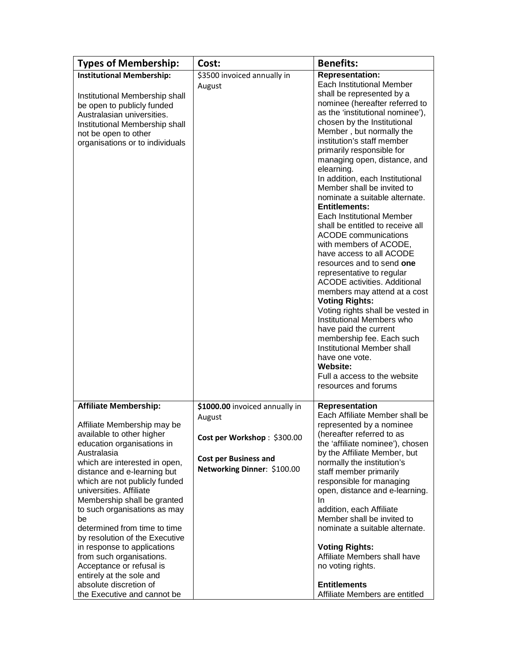| <b>Types of Membership:</b>                                                                                                                                                                                                                                                                                                                                                                                                                                                                                                                                                          | Cost:                                                                                                                                  | <b>Benefits:</b>                                                                                                                                                                                                                                                                                                                                                                                                                                                                                                                                                                                                                                                                                                                                                                                                                                                                                                                                                                              |
|--------------------------------------------------------------------------------------------------------------------------------------------------------------------------------------------------------------------------------------------------------------------------------------------------------------------------------------------------------------------------------------------------------------------------------------------------------------------------------------------------------------------------------------------------------------------------------------|----------------------------------------------------------------------------------------------------------------------------------------|-----------------------------------------------------------------------------------------------------------------------------------------------------------------------------------------------------------------------------------------------------------------------------------------------------------------------------------------------------------------------------------------------------------------------------------------------------------------------------------------------------------------------------------------------------------------------------------------------------------------------------------------------------------------------------------------------------------------------------------------------------------------------------------------------------------------------------------------------------------------------------------------------------------------------------------------------------------------------------------------------|
| <b>Institutional Membership:</b>                                                                                                                                                                                                                                                                                                                                                                                                                                                                                                                                                     | \$3500 invoiced annually in                                                                                                            | <b>Representation:</b>                                                                                                                                                                                                                                                                                                                                                                                                                                                                                                                                                                                                                                                                                                                                                                                                                                                                                                                                                                        |
| Institutional Membership shall<br>be open to publicly funded<br>Australasian universities.<br>Institutional Membership shall<br>not be open to other<br>organisations or to individuals                                                                                                                                                                                                                                                                                                                                                                                              | August                                                                                                                                 | Each Institutional Member<br>shall be represented by a<br>nominee (hereafter referred to<br>as the 'institutional nominee'),<br>chosen by the Institutional<br>Member, but normally the<br>institution's staff member<br>primarily responsible for<br>managing open, distance, and<br>elearning.<br>In addition, each Institutional<br>Member shall be invited to<br>nominate a suitable alternate.<br><b>Entitlements:</b><br>Each Institutional Member<br>shall be entitled to receive all<br><b>ACODE</b> communications<br>with members of ACODE,<br>have access to all ACODE<br>resources and to send one<br>representative to regular<br><b>ACODE</b> activities. Additional<br>members may attend at a cost<br><b>Voting Rights:</b><br>Voting rights shall be vested in<br>Institutional Members who<br>have paid the current<br>membership fee. Each such<br>Institutional Member shall<br>have one vote.<br><b>Website:</b><br>Full a access to the website<br>resources and forums |
| <b>Affiliate Membership:</b><br>Affiliate Membership may be<br>available to other higher<br>education organisations in<br>Australasia<br>which are interested in open,<br>distance and e-learning but<br>which are not publicly funded<br>universities. Affiliate<br>Membership shall be granted<br>to such organisations as may<br>be<br>determined from time to time<br>by resolution of the Executive<br>in response to applications<br>from such organisations.<br>Acceptance or refusal is<br>entirely at the sole and<br>absolute discretion of<br>the Executive and cannot be | \$1000.00 invoiced annually in<br>August<br>Cost per Workshop: \$300.00<br><b>Cost per Business and</b><br>Networking Dinner: \$100.00 | Representation<br>Each Affiliate Member shall be<br>represented by a nominee<br>(hereafter referred to as<br>the 'affiliate nominee'), chosen<br>by the Affiliate Member, but<br>normally the institution's<br>staff member primarily<br>responsible for managing<br>open, distance and e-learning.<br>In<br>addition, each Affiliate<br>Member shall be invited to<br>nominate a suitable alternate.<br><b>Voting Rights:</b><br>Affiliate Members shall have<br>no voting rights.<br><b>Entitlements</b><br>Affiliate Members are entitled                                                                                                                                                                                                                                                                                                                                                                                                                                                  |